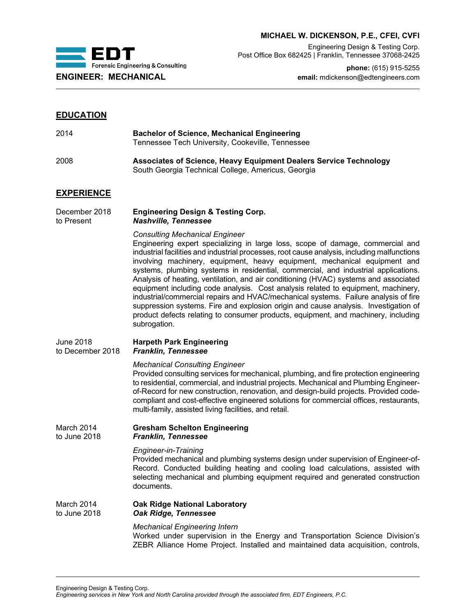

# **MICHAEL W. DICKENSON, P.E., CFEI, CVFI**

Engineering Design & Testing Corp. Post Office Box 682425 | Franklin, Tennessee 37068-2425

**phone:** (615) 915-5255 **ENGINEER: MECHANICAL email:** mdickenson@edtengineers.com

# **EDUCATION**

| 2014                        | <b>Bachelor of Science, Mechanical Engineering</b><br>Tennessee Tech University, Cookeville, Tennessee                                                                                                                                                                                                                                                                   |
|-----------------------------|--------------------------------------------------------------------------------------------------------------------------------------------------------------------------------------------------------------------------------------------------------------------------------------------------------------------------------------------------------------------------|
| 2008                        | Associates of Science, Heavy Equipment Dealers Service Technology<br>South Georgia Technical College, Americus, Georgia                                                                                                                                                                                                                                                  |
| <b>EXPERIENCE</b>           |                                                                                                                                                                                                                                                                                                                                                                          |
| December 2018<br>to Present | <b>Engineering Design &amp; Testing Corp.</b><br><b>Nashville, Tennessee</b>                                                                                                                                                                                                                                                                                             |
|                             | <b>Consulting Mechanical Engineer</b><br>Engineering expert specializing in large loss, scope of damage, commercial<br>industrial facilities and industrial processes, root cause analysis, including malfund<br>involving machinery, equipment, heavy equipment, mechanical equipment<br>systems, plumbing systems in residential commercial and industrial application |

Engineering expert specializing in large loss, scope of damage, commercial and industrial facilities and industrial processes, root cause analysis, including malfunctions involving machinery, equipment, heavy equipment, mechanical equipment and systems, plumbing systems in residential, commercial, and industrial applications. Analysis of heating, ventilation, and air conditioning (HVAC) systems and associated equipment including code analysis. Cost analysis related to equipment, machinery, industrial/commercial repairs and HVAC/mechanical systems. Failure analysis of fire suppression systems. Fire and explosion origin and cause analysis. Investigation of product defects relating to consumer products, equipment, and machinery, including subrogation.

## June 2018 **Harpeth Park Engineering Franklin, Tennessee**

## *Mechanical Consulting Engineer*

Provided consulting services for mechanical, plumbing, and fire protection engineering to residential, commercial, and industrial projects. Mechanical and Plumbing Engineerof-Record for new construction, renovation, and design-build projects. Provided codecompliant and cost-effective engineered solutions for commercial offices, restaurants, multi-family, assisted living facilities, and retail.

### March 2014 **Gresham Schelton Engineering**<br>to June 2018 **Franklin, Tennessee Franklin, Tennessee**

## *Engineer-in-Training*

Provided mechanical and plumbing systems design under supervision of Engineer-of-Record. Conducted building heating and cooling load calculations, assisted with selecting mechanical and plumbing equipment required and generated construction documents.

# March 2014 **Oak Ridge National Laboratory** to June 2018 *Oak Ridge, Tennessee*

## *Mechanical Engineering Intern*

Worked under supervision in the Energy and Transportation Science Division's ZEBR Alliance Home Project. Installed and maintained data acquisition, controls,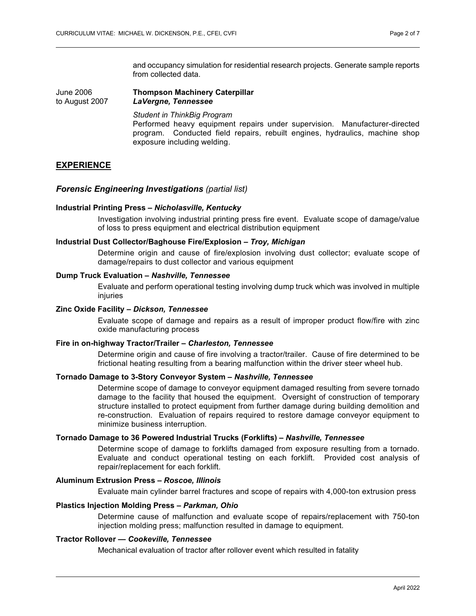and occupancy simulation for residential research projects. Generate sample reports from collected data.

### June 2006 **Thompson Machinery Caterpillar** to August 2007 *LaVergne, Tennessee*

*Student in ThinkBig Program* Performed heavy equipment repairs under supervision. Manufacturer-directed program. Conducted field repairs, rebuilt engines, hydraulics, machine shop exposure including welding.

# **EXPERIENCE**

## *Forensic Engineering Investigations (partial list)*

#### **Industrial Printing Press –** *Nicholasville, Kentucky*

Investigation involving industrial printing press fire event. Evaluate scope of damage/value of loss to press equipment and electrical distribution equipment

### **Industrial Dust Collector/Baghouse Fire/Explosion –** *Troy, Michigan*

Determine origin and cause of fire/explosion involving dust collector; evaluate scope of damage/repairs to dust collector and various equipment

#### **Dump Truck Evaluation –** *Nashville, Tennessee*

Evaluate and perform operational testing involving dump truck which was involved in multiple injuries

### **Zinc Oxide Facility –** *Dickson, Tennessee*

Evaluate scope of damage and repairs as a result of improper product flow/fire with zinc oxide manufacturing process

### **Fire in on-highway Tractor/Trailer –** *Charleston, Tennessee*

Determine origin and cause of fire involving a tractor/trailer. Cause of fire determined to be frictional heating resulting from a bearing malfunction within the driver steer wheel hub.

## **Tornado Damage to 3-Story Conveyor System –** *Nashville, Tennessee*

Determine scope of damage to conveyor equipment damaged resulting from severe tornado damage to the facility that housed the equipment. Oversight of construction of temporary structure installed to protect equipment from further damage during building demolition and re-construction. Evaluation of repairs required to restore damage conveyor equipment to minimize business interruption.

### **Tornado Damage to 36 Powered Industrial Trucks (Forklifts) –** *Nashville, Tennessee*

Determine scope of damage to forklifts damaged from exposure resulting from a tornado. Evaluate and conduct operational testing on each forklift. Provided cost analysis of repair/replacement for each forklift.

### **Aluminum Extrusion Press –** *Roscoe, Illinois*

Evaluate main cylinder barrel fractures and scope of repairs with 4,000-ton extrusion press

#### **Plastics Injection Molding Press –** *Parkman, Ohio*

Determine cause of malfunction and evaluate scope of repairs/replacement with 750-ton injection molding press; malfunction resulted in damage to equipment.

### **Tractor Rollover** *— Cookeville, Tennessee*

Mechanical evaluation of tractor after rollover event which resulted in fatality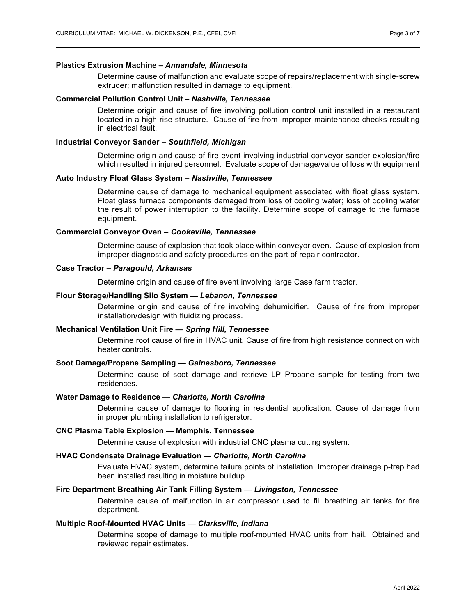#### **Plastics Extrusion Machine –** *Annandale, Minnesota*

Determine cause of malfunction and evaluate scope of repairs/replacement with single-screw extruder; malfunction resulted in damage to equipment.

#### **Commercial Pollution Control Unit –** *Nashville, Tennessee*

Determine origin and cause of fire involving pollution control unit installed in a restaurant located in a high-rise structure. Cause of fire from improper maintenance checks resulting in electrical fault.

### **Industrial Conveyor Sander –** *Southfield, Michigan*

Determine origin and cause of fire event involving industrial conveyor sander explosion/fire which resulted in injured personnel. Evaluate scope of damage/value of loss with equipment

#### **Auto Industry Float Glass System –** *Nashville, Tennessee*

Determine cause of damage to mechanical equipment associated with float glass system. Float glass furnace components damaged from loss of cooling water; loss of cooling water the result of power interruption to the facility. Determine scope of damage to the furnace equipment.

#### **Commercial Conveyor Oven –** *Cookeville, Tennessee*

Determine cause of explosion that took place within conveyor oven. Cause of explosion from improper diagnostic and safety procedures on the part of repair contractor.

### **Case Tractor –** *Paragould, Arkansas*

Determine origin and cause of fire event involving large Case farm tractor.

#### **Flour Storage/Handling Silo System** *— Lebanon, Tennessee*

Determine origin and cause of fire involving dehumidifier. Cause of fire from improper installation/design with fluidizing process.

## **Mechanical Ventilation Unit Fire** *— Spring Hill, Tennessee*

Determine root cause of fire in HVAC unit. Cause of fire from high resistance connection with heater controls.

#### **Soot Damage/Propane Sampling** *— Gainesboro, Tennessee*

Determine cause of soot damage and retrieve LP Propane sample for testing from two residences.

#### **Water Damage to Residence** *— Charlotte, North Carolina*

Determine cause of damage to flooring in residential application. Cause of damage from improper plumbing installation to refrigerator.

#### **CNC Plasma Table Explosion — Memphis, Tennessee**

Determine cause of explosion with industrial CNC plasma cutting system.

## **HVAC Condensate Drainage Evaluation** *— Charlotte, North Carolina*

Evaluate HVAC system, determine failure points of installation. Improper drainage p-trap had been installed resulting in moisture buildup.

## **Fire Department Breathing Air Tank Filling System** *— Livingston, Tennessee*

Determine cause of malfunction in air compressor used to fill breathing air tanks for fire department.

## **Multiple Roof-Mounted HVAC Units** *— Clarksville, Indiana*

Determine scope of damage to multiple roof-mounted HVAC units from hail. Obtained and reviewed repair estimates.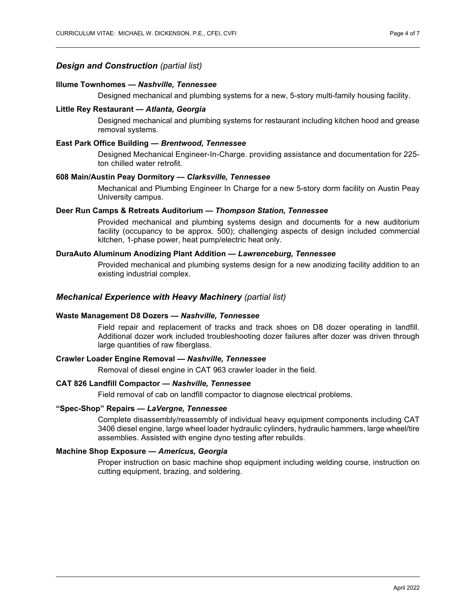## *Design and Construction (partial list)*

#### **Illume Townhomes —** *Nashville, Tennessee*

Designed mechanical and plumbing systems for a new, 5-story multi-family housing facility.

#### **Little Rey Restaurant** *— Atlanta, Georgia*

Designed mechanical and plumbing systems for restaurant including kitchen hood and grease removal systems.

## **East Park Office Building** *— Brentwood, Tennessee*

Designed Mechanical Engineer-In-Charge. providing assistance and documentation for 225 ton chilled water retrofit.

## **608 Main/Austin Peay Dormitory** *— Clarksville, Tennessee*

Mechanical and Plumbing Engineer In Charge for a new 5-story dorm facility on Austin Peay University campus.

### **Deer Run Camps & Retreats Auditorium** *— Thompson Station, Tennessee*

Provided mechanical and plumbing systems design and documents for a new auditorium facility (occupancy to be approx. 500); challenging aspects of design included commercial kitchen, 1-phase power, heat pump/electric heat only.

## **DuraAuto Aluminum Anodizing Plant Addition** *— Lawrenceburg, Tennessee*

Provided mechanical and plumbing systems design for a new anodizing facility addition to an existing industrial complex.

#### *Mechanical Experience with Heavy Machinery (partial list)*

#### **Waste Management D8 Dozers** *— Nashville, Tennessee*

Field repair and replacement of tracks and track shoes on D8 dozer operating in landfill. Additional dozer work included troubleshooting dozer failures after dozer was driven through large quantities of raw fiberglass.

## **Crawler Loader Engine Removal** *— Nashville, Tennessee*

Removal of diesel engine in CAT 963 crawler loader in the field.

#### **CAT 826 Landfill Compactor** *— Nashville, Tennessee*

Field removal of cab on landfill compactor to diagnose electrical problems.

## **"Spec-Shop" Repairs** *— LaVergne, Tennessee*

Complete disassembly/reassembly of individual heavy equipment components including CAT 3406 diesel engine, large wheel loader hydraulic cylinders, hydraulic hammers, large wheel/tire assemblies. Assisted with engine dyno testing after rebuilds.

### **Machine Shop Exposure** *— Americus, Georgia*

Proper instruction on basic machine shop equipment including welding course, instruction on cutting equipment, brazing, and soldering.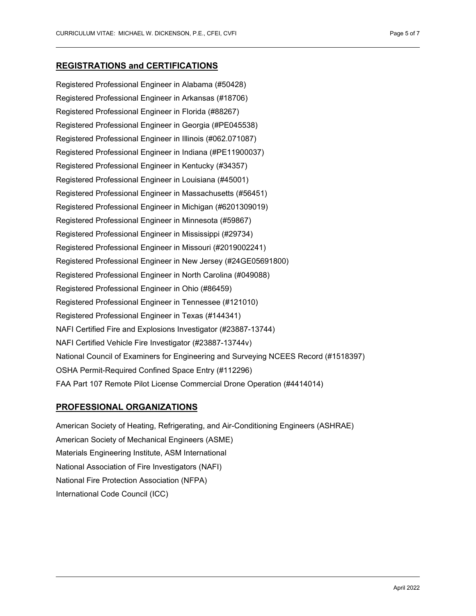## **REGISTRATIONS and CERTIFICATIONS**

Registered Professional Engineer in Alabama (#50428) Registered Professional Engineer in Arkansas (#18706) Registered Professional Engineer in Florida (#88267) Registered Professional Engineer in Georgia (#PE045538) Registered Professional Engineer in Illinois (#062.071087) Registered Professional Engineer in Indiana (#PE11900037) Registered Professional Engineer in Kentucky (#34357) Registered Professional Engineer in Louisiana (#45001) Registered Professional Engineer in Massachusetts (#56451) Registered Professional Engineer in Michigan (#6201309019) Registered Professional Engineer in Minnesota (#59867) Registered Professional Engineer in Mississippi (#29734) Registered Professional Engineer in Missouri (#2019002241) Registered Professional Engineer in New Jersey (#24GE05691800) Registered Professional Engineer in North Carolina (#049088) Registered Professional Engineer in Ohio (#86459) Registered Professional Engineer in Tennessee (#121010) Registered Professional Engineer in Texas (#144341) NAFI Certified Fire and Explosions Investigator (#23887-13744) NAFI Certified Vehicle Fire Investigator (#23887-13744v) National Council of Examiners for Engineering and Surveying NCEES Record (#1518397) OSHA Permit-Required Confined Space Entry (#112296) FAA Part 107 Remote Pilot License Commercial Drone Operation (#4414014)

# **PROFESSIONAL ORGANIZATIONS**

American Society of Heating, Refrigerating, and Air-Conditioning Engineers (ASHRAE) American Society of Mechanical Engineers (ASME) Materials Engineering Institute, ASM International National Association of Fire Investigators (NAFI) National Fire Protection Association (NFPA) International Code Council (ICC)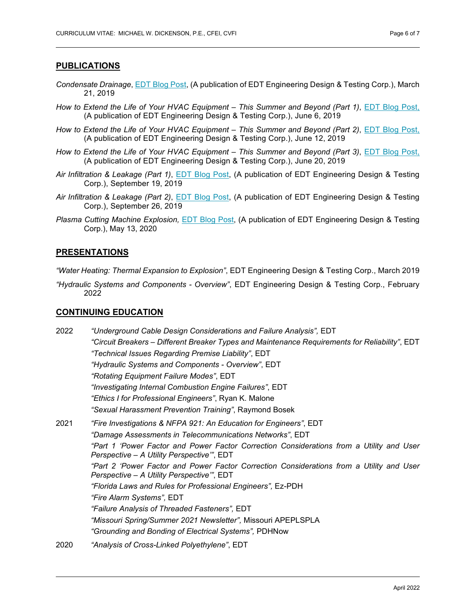# **PUBLICATIONS**

- *Condensate Drainage*, [EDT Blog Post,](https://www.edtengineers.com/blog-post/condensate-drainage) (A publication of EDT Engineering Design & Testing Corp.), March 21, 2019
- *How to Extend the Life of Your HVAC Equipment – This Summer and Beyond (Part 1)*, [EDT Blog Post,](https://www.edtengineers.com/blog-post/how-extend-life-your-hvac-equipment-summer-and-beyond-part-1)  (A publication of EDT Engineering Design & Testing Corp.), June 6, 2019
- *How to Extend the Life of Your HVAC Equipment – This Summer and Beyond (Part 2)*, [EDT Blog Post,](https://www.edtengineers.com/blog-post/how-extend-life-your-hvac-equipment-summer-and-beyond-part-2)  (A publication of EDT Engineering Design & Testing Corp.), June 12, 2019
- *How to Extend the Life of Your HVAC Equipment – This Summer and Beyond (Part 3)*, [EDT Blog Post,](https://www.edtengineers.com/blog-post/how-extend-life-your-hvac-equipment-summer-and-beyond-part-3)  (A publication of EDT Engineering Design & Testing Corp.), June 20, 2019
- *Air Infiltration & Leakage (Part 1)*, [EDT Blog Post,](https://www.edtengineers.com/blog-post/air-infiltration-leakage-part-1) (A publication of EDT Engineering Design & Testing Corp.), September 19, 2019
- *Air Infiltration & Leakage (Part 2)*, [EDT Blog Post,](https://www.edtengineers.com/blog-post/air-infiltration-leakage-part-2) (A publication of EDT Engineering Design & Testing Corp.), September 26, 2019
- *Plasma Cutting Machine Explosion,* [EDT Blog Post,](https://www.edtengineers.com/blog-post/plasma-cutting-machine-explosion) (A publication of EDT Engineering Design & Testing Corp.), May 13, 2020

## **PRESENTATIONS**

*"Water Heating: Thermal Expansion to Explosion"*, EDT Engineering Design & Testing Corp., March 2019

*"Hydraulic Systems and Components - Overview"*, EDT Engineering Design & Testing Corp., February 2022

# **CONTINUING EDUCATION**

| 2022 | "Underground Cable Design Considerations and Failure Analysis", EDT                                                                   |
|------|---------------------------------------------------------------------------------------------------------------------------------------|
|      | "Circuit Breakers – Different Breaker Types and Maintenance Requirements for Reliability", EDT                                        |
|      | "Technical Issues Regarding Premise Liability", EDT                                                                                   |
|      | "Hydraulic Systems and Components - Overview", EDT                                                                                    |
|      | "Rotating Equipment Failure Modes", EDT                                                                                               |
|      | "Investigating Internal Combustion Engine Failures", EDT                                                                              |
|      | "Ethics I for Professional Engineers", Ryan K. Malone                                                                                 |
|      | "Sexual Harassment Prevention Training", Raymond Bosek                                                                                |
| 2021 | "Fire Investigations & NFPA 921: An Education for Engineers", EDT                                                                     |
|      | "Damage Assessments in Telecommunications Networks", EDT                                                                              |
|      | "Part 1 'Power Factor and Power Factor Correction Considerations from a Utility and User<br>Perspective - A Utility Perspective", EDT |
|      | "Part 2 'Power Factor and Power Factor Correction Considerations from a Utility and User<br>Perspective - A Utility Perspective", EDT |
|      | "Florida Laws and Rules for Professional Engineers", Ez-PDH                                                                           |
|      | "Fire Alarm Systems", EDT                                                                                                             |
|      | "Failure Analysis of Threaded Fasteners", EDT                                                                                         |
|      | "Missouri Spring/Summer 2021 Newsletter", Missouri APEPLSPLA                                                                          |
|      | "Grounding and Bonding of Electrical Systems", PDHNow                                                                                 |
| 2020 | "Analysis of Cross-Linked Polyethylene", EDT                                                                                          |